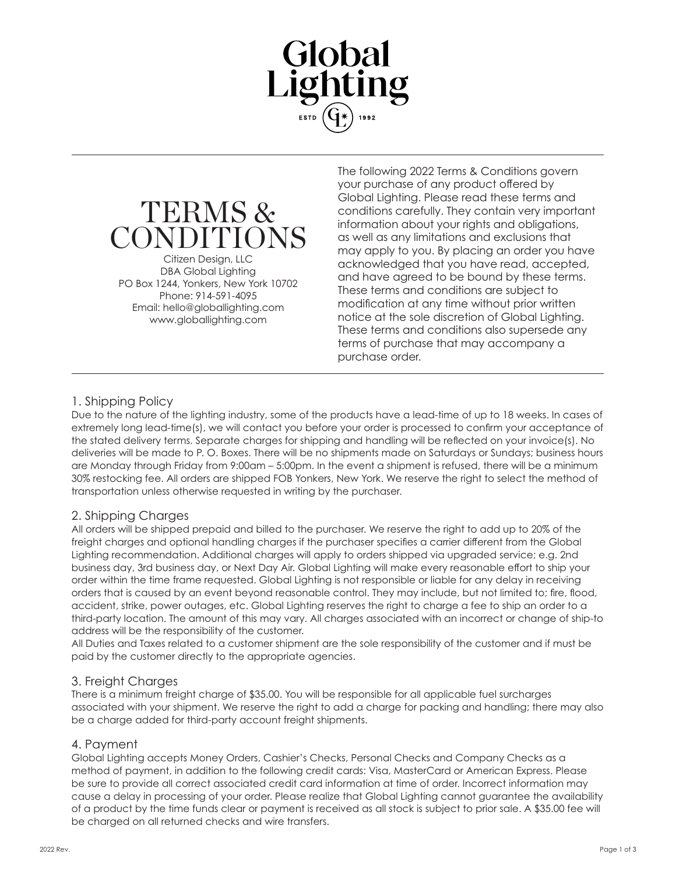



Citizen Design, LLC DBA Global Lighting PO Box 1244, Yonkers, New York 10702 Phone: 914-591-4095 Email: hello@globallighting.com www.globallighting.com

The following 2022 Terms & Conditions govern your purchase of any product offered by Global Lighting. Please read these terms and conditions carefully. They contain very important information about your rights and obligations, as well as any limitations and exclusions that may apply to you. By placing an order you have acknowledged that you have read, accepted, and have agreed to be bound by these terms. These terms and conditions are subject to modification at any time without prior written notice at the sole discretion of Global Lighting. These terms and conditions also supersede any terms of purchase that may accompany a purchase order.

## 1. Shipping Policy

Due to the nature of the lighting industry, some of the products have a lead-time of up to 18 weeks. In cases of extremely long lead-time(s), we will contact you before your order is processed to confirm your acceptance of the stated delivery terms. Separate charges for shipping and handling will be reflected on your invoice(s). No deliveries will be made to P. O. Boxes. There will be no shipments made on Saturdays or Sundays; business hours are Monday through Friday from 9:00am – 5:00pm. In the event a shipment is refused, there will be a minimum 30% restocking fee. All orders are shipped FOB Yonkers, New York. We reserve the right to select the method of transportation unless otherwise requested in writing by the purchaser.

## 2. Shipping Charges

All orders will be shipped prepaid and billed to the purchaser. We reserve the right to add up to 20% of the freight charges and optional handling charges if the purchaser specifies a carrier different from the Global Lighting recommendation. Additional charges will apply to orders shipped via upgraded service; e.g. 2nd business day, 3rd business day, or Next Day Air. Global Lighting will make every reasonable effort to ship your order within the time frame requested. Global Lighting is not responsible or liable for any delay in receiving orders that is caused by an event beyond reasonable control. They may include, but not limited to; fire, flood, accident, strike, power outages, etc. Global Lighting reserves the right to charge a fee to ship an order to a third-party location. The amount of this may vary. All charges associated with an incorrect or change of ship-to address will be the responsibility of the customer.

All Duties and Taxes related to a customer shipment are the sole responsibility of the customer and if must be paid by the customer directly to the appropriate agencies.

#### 3. Freight Charges

There is a minimum freight charge of \$35.00. You will be responsible for all applicable fuel surcharges associated with your shipment. We reserve the right to add a charge for packing and handling; there may also be a charge added for third-party account freight shipments.

#### 4. Payment

Global Lighting accepts Money Orders, Cashier's Checks, Personal Checks and Company Checks as a method of payment, in addition to the following credit cards: Visa, MasterCard or American Express. Please be sure to provide all correct associated credit card information at time of order. Incorrect information may cause a delay in processing of your order. Please realize that Global Lighting cannot guarantee the availability of a product by the time funds clear or payment is received as all stock is subject to prior sale. A \$35.00 fee will be charged on all returned checks and wire transfers.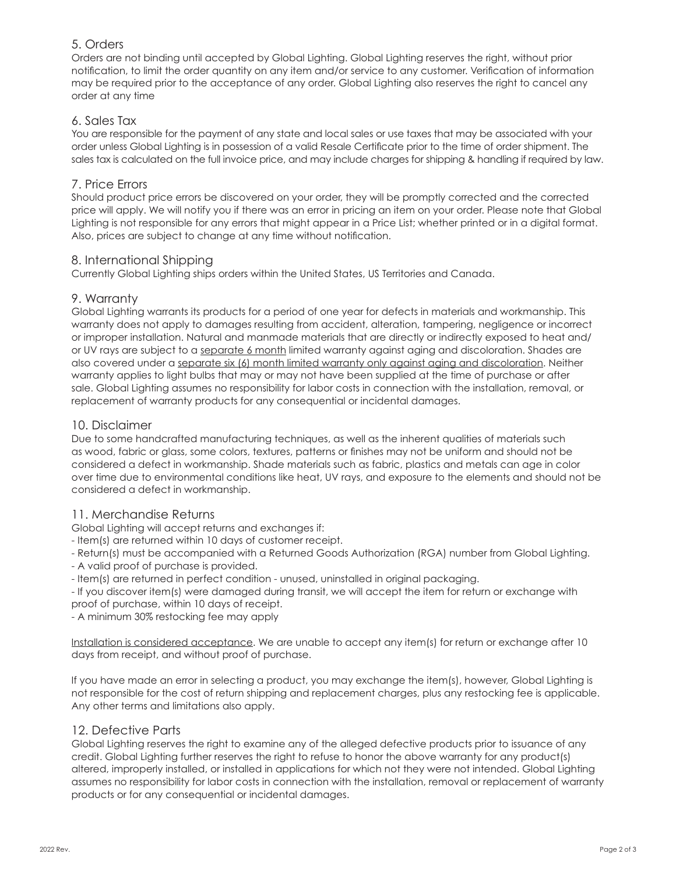## 5. Orders

Orders are not binding until accepted by Global Lighting. Global Lighting reserves the right, without prior notification, to limit the order quantity on any item and/or service to any customer. Verification of information may be required prior to the acceptance of any order. Global Lighting also reserves the right to cancel any order at any time

# 6. Sales Tax

You are responsible for the payment of any state and local sales or use taxes that may be associated with your order unless Global Lighting is in possession of a valid Resale Certificate prior to the time of order shipment. The sales tax is calculated on the full invoice price, and may include charges for shipping & handling if required by law.

## 7. Price Errors

Should product price errors be discovered on your order, they will be promptly corrected and the corrected price will apply. We will notify you if there was an error in pricing an item on your order. Please note that Global Lighting is not responsible for any errors that might appear in a Price List; whether printed or in a digital format. Also, prices are subject to change at any time without notification.

## 8. International Shipping

Currently Global Lighting ships orders within the United States, US Territories and Canada.

## 9. Warranty

Global Lighting warrants its products for a period of one year for defects in materials and workmanship. This warranty does not apply to damages resulting from accident, alteration, tampering, negligence or incorrect or improper installation. Natural and manmade materials that are directly or indirectly exposed to heat and/ or UV rays are subject to a separate 6 month limited warranty against aging and discoloration. Shades are also covered under a separate six (6) month limited warranty only against aging and discoloration. Neither warranty applies to light bulbs that may or may not have been supplied at the time of purchase or after sale. Global Lighting assumes no responsibility for labor costs in connection with the installation, removal, or replacement of warranty products for any consequential or incidental damages.

### 10. Disclaimer

Due to some handcrafted manufacturing techniques, as well as the inherent qualities of materials such as wood, fabric or glass, some colors, textures, patterns or finishes may not be uniform and should not be considered a defect in workmanship. Shade materials such as fabric, plastics and metals can age in color over time due to environmental conditions like heat, UV rays, and exposure to the elements and should not be considered a defect in workmanship.

## 11. Merchandise Returns

Global Lighting will accept returns and exchanges if:

- Item(s) are returned within 10 days of customer receipt.
- Return(s) must be accompanied with a Returned Goods Authorization (RGA) number from Global Lighting.
- A valid proof of purchase is provided.
- Item(s) are returned in perfect condition unused, uninstalled in original packaging.
- If you discover item(s) were damaged during transit, we will accept the item for return or exchange with proof of purchase, within 10 days of receipt.
- A minimum 30% restocking fee may apply

Installation is considered acceptance. We are unable to accept any item(s) for return or exchange after 10 days from receipt, and without proof of purchase.

If you have made an error in selecting a product, you may exchange the item(s), however, Global Lighting is not responsible for the cost of return shipping and replacement charges, plus any restocking fee is applicable. Any other terms and limitations also apply.

#### 12. Defective Parts

Global Lighting reserves the right to examine any of the alleged defective products prior to issuance of any credit. Global Lighting further reserves the right to refuse to honor the above warranty for any product(s) altered, improperly installed, or installed in applications for which not they were not intended. Global Lighting assumes no responsibility for labor costs in connection with the installation, removal or replacement of warranty products or for any consequential or incidental damages.